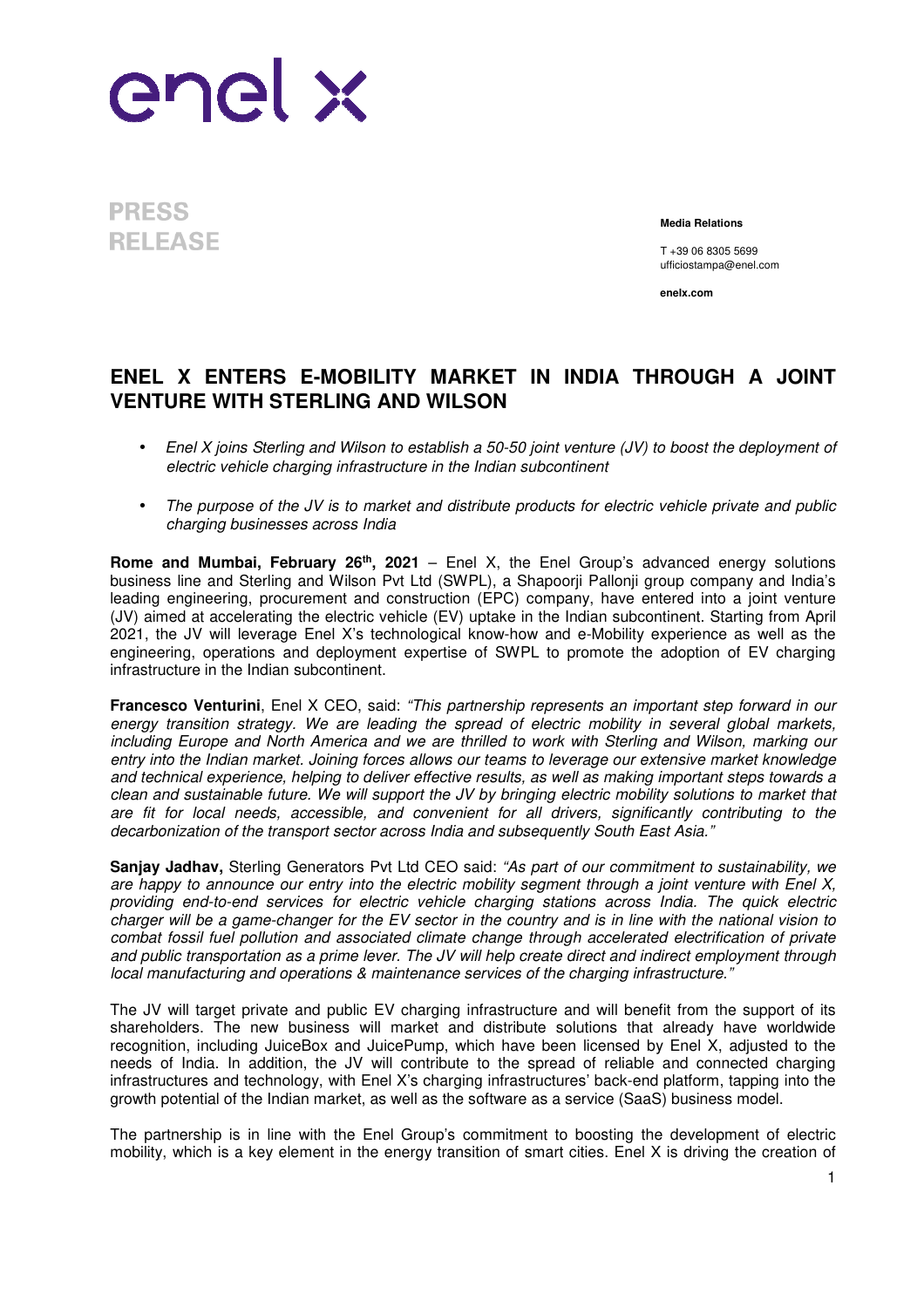

**PRESS RELEASE** 

**Media Relations**

T +39 06 8305 5699 ufficiostampa@enel.com

**enelx.com**

## **ENEL X ENTERS E-MOBILITY MARKET IN INDIA THROUGH A JOINT VENTURE WITH STERLING AND WILSON**

- Enel X joins Sterling and Wilson to establish a 50-50 joint venture (JV) to boost the deployment of electric vehicle charging infrastructure in the Indian subcontinent
- The purpose of the JV is to market and distribute products for electric vehicle private and public charging businesses across India

**Rome and Mumbai, February 26th, 2021** – Enel X, the Enel Group's advanced energy solutions business line and Sterling and Wilson Pyt Ltd (SWPL), a Shapoorii Pallonii group company and India's leading engineering, procurement and construction (EPC) company, have entered into a joint venture (JV) aimed at accelerating the electric vehicle (EV) uptake in the Indian subcontinent. Starting from April 2021, the JV will leverage Enel X's technological know-how and e-Mobility experience as well as the engineering, operations and deployment expertise of SWPL to promote the adoption of EV charging infrastructure in the Indian subcontinent.

**Francesco Venturini**, Enel X CEO, said: "This partnership represents an important step forward in our energy transition strategy. We are leading the spread of electric mobility in several global markets, including Europe and North America and we are thrilled to work with Sterling and Wilson, marking our entry into the Indian market. Joining forces allows our teams to leverage our extensive market knowledge and technical experience, helping to deliver effective results, as well as making important steps towards a clean and sustainable future. We will support the JV by bringing electric mobility solutions to market that are fit for local needs, accessible, and convenient for all drivers, significantly contributing to the decarbonization of the transport sector across India and subsequently South East Asia."

**Sanjay Jadhav,** Sterling Generators Pvt Ltd CEO said: "As part of our commitment to sustainability, we are happy to announce our entry into the electric mobility segment through a joint venture with Enel X, providing end-to-end services for electric vehicle charging stations across India. The quick electric charger will be a game-changer for the EV sector in the country and is in line with the national vision to combat fossil fuel pollution and associated climate change through accelerated electrification of private and public transportation as a prime lever. The JV will help create direct and indirect employment through local manufacturing and operations & maintenance services of the charging infrastructure."

The JV will target private and public EV charging infrastructure and will benefit from the support of its shareholders. The new business will market and distribute solutions that already have worldwide recognition, including JuiceBox and JuicePump, which have been licensed by Enel X, adjusted to the needs of India. In addition, the JV will contribute to the spread of reliable and connected charging infrastructures and technology, with Enel X's charging infrastructures' back-end platform, tapping into the growth potential of the Indian market, as well as the software as a service (SaaS) business model.

The partnership is in line with the Enel Group's commitment to boosting the development of electric mobility, which is a key element in the energy transition of smart cities. Enel X is driving the creation of